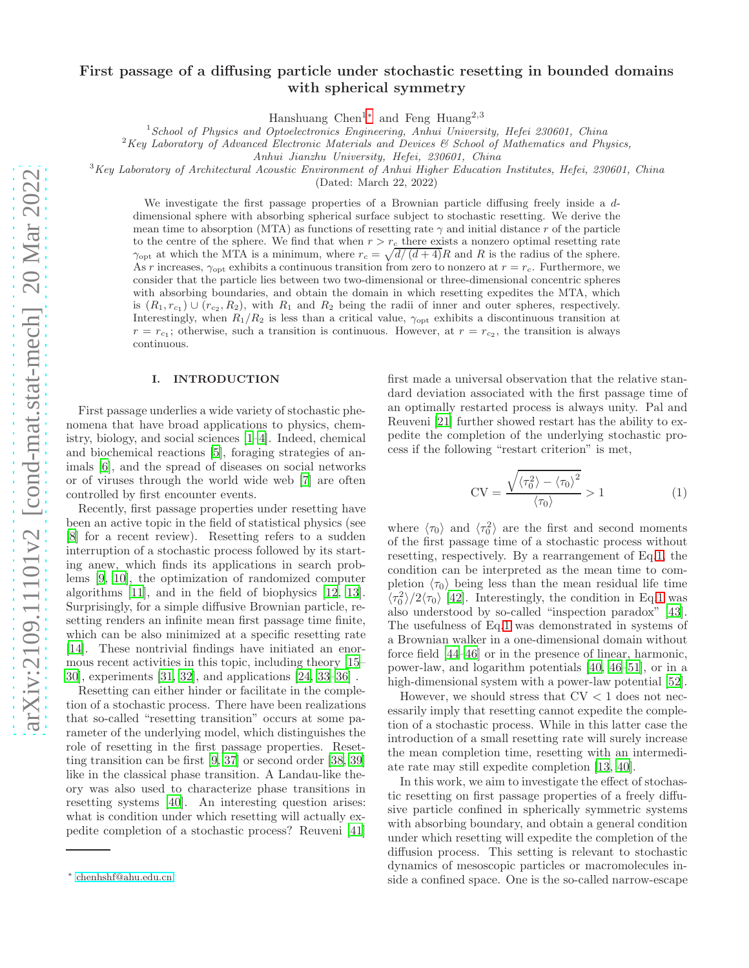# First passage of a diffusing particle under stochastic resetting in bounded domains with spherical symmetry

Hanshuang Chen<sup>1[∗](#page-0-0)</sup> and Feng Huang<sup>2,3</sup>

<sup>1</sup>School of Physics and Optoelectronics Engineering, Anhui University, Hefei 230601, China

 $2$ Key Laboratory of Advanced Electronic Materials and Devices  $\mathcal C$  School of Mathematics and Physics,

Anhui Jianzhu University, Hefei, 230601, China

 $3Key Laboratory$  of Architectural Acoustic Environment of Anhui Higher Education Institutes, Hefei, 230601, China

(Dated: March 22, 2022)

We investigate the first passage properties of a Brownian particle diffusing freely inside a ddimensional sphere with absorbing spherical surface subject to stochastic resetting. We derive the mean time to absorption (MTA) as functions of resetting rate  $\gamma$  and initial distance r of the particle to the centre of the sphere. We find that when  $r > r_c$  there exists a nonzero optimal resetting rate  $\gamma_{\text{opt}}$  at which the MTA is a minimum, where  $r_c = \sqrt{d/(d+4)}R$  and R is the radius of the sphere. As r increases,  $\gamma_{\text{opt}}$  exhibits a continuous transition from zero to nonzero at  $r = r_c$ . Furthermore, we consider that the particle lies between two two-dimensional or three-dimensional concentric spheres with absorbing boundaries, and obtain the domain in which resetting expedites the MTA, which is  $(R_1, r_{c_1}) \cup (r_{c_2}, R_2)$ , with  $R_1$  and  $R_2$  being the radii of inner and outer spheres, respectively. Interestingly, when  $R_1/R_2$  is less than a critical value,  $\gamma_{\text{opt}}$  exhibits a discontinuous transition at  $r = r_{c_1}$ ; otherwise, such a transition is continuous. However, at  $r = r_{c_2}$ , the transition is always continuous.

#### I. INTRODUCTION

First passage underlies a wide variety of stochastic phenomena that have broad applications to physics, chemistry, biology, and social sciences [\[1](#page-6-0)[–4\]](#page-6-1). Indeed, chemical and biochemical reactions [\[5\]](#page-6-2), foraging strategies of animals [\[6](#page-6-3)], and the spread of diseases on social networks or of viruses through the world wide web [\[7](#page-6-4)] are often controlled by first encounter events.

Recently, first passage properties under resetting have been an active topic in the field of statistical physics (see [\[8\]](#page-6-5) for a recent review). Resetting refers to a sudden interruption of a stochastic process followed by its starting anew, which finds its applications in search problems [\[9,](#page-6-6) [10\]](#page-6-7), the optimization of randomized computer algorithms [\[11](#page-6-8)], and in the field of biophysics [\[12](#page-6-9), [13\]](#page-6-10). Surprisingly, for a simple diffusive Brownian particle, resetting renders an infinite mean first passage time finite, which can be also minimized at a specific resetting rate [\[14\]](#page-6-11). These nontrivial findings have initiated an enormous recent activities in this topic, including theory [\[15](#page-6-12)– [30\]](#page-6-13), experiments [\[31](#page-6-14), [32](#page-6-15)], and applications [\[24,](#page-6-16) [33](#page-6-17)[–36\]](#page-6-18) .

Resetting can either hinder or facilitate in the completion of a stochastic process. There have been realizations that so-called "resetting transition" occurs at some parameter of the underlying model, which distinguishes the role of resetting in the first passage properties. Resetting transition can be first [\[9,](#page-6-6) [37](#page-6-19)] or second order [\[38,](#page-6-20) [39](#page-6-21)] like in the classical phase transition. A Landau-like theory was also used to characterize phase transitions in resetting systems [\[40\]](#page-6-22). An interesting question arises: what is condition under which resetting will actually expedite completion of a stochastic process? Reuveni [\[41](#page-6-23)]

first made a universal observation that the relative standard deviation associated with the first passage time of an optimally restarted process is always unity. Pal and Reuveni [\[21\]](#page-6-24) further showed restart has the ability to expedite the completion of the underlying stochastic process if the following "restart criterion" is met,

<span id="page-0-1"></span>
$$
CV = \frac{\sqrt{\langle \tau_0^2 \rangle - \langle \tau_0 \rangle^2}}{\langle \tau_0 \rangle} > 1
$$
 (1)

where  $\langle \tau_0 \rangle$  and  $\langle \tau_0^2 \rangle$  are the first and second moments of the first passage time of a stochastic process without resetting, respectively. By a rearrangement of Eq[.1,](#page-0-1) the condition can be interpreted as the mean time to completion  $\langle \tau_0 \rangle$  being less than the mean residual life time  $\langle \tau_0^2 \rangle / 2 \langle \tau_0 \rangle$  [\[42\]](#page-6-25). Interestingly, the condition in Eq[.1](#page-0-1) was also understood by so-called "inspection paradox" [\[43\]](#page-6-26). The usefulness of Eq[.1](#page-0-1) was demonstrated in systems of a Brownian walker in a one-dimensional domain without force field [\[44](#page-6-27)[–46](#page-6-28)] or in the presence of linear, harmonic, power-law, and logarithm potentials [\[40,](#page-6-22) [46](#page-6-28)[–51](#page-6-29)], or in a high-dimensional system with a power-law potential [\[52\]](#page-6-30).

However, we should stress that  $CV < 1$  does not necessarily imply that resetting cannot expedite the completion of a stochastic process. While in this latter case the introduction of a small resetting rate will surely increase the mean completion time, resetting with an intermediate rate may still expedite completion [\[13,](#page-6-10) [40\]](#page-6-22).

In this work, we aim to investigate the effect of stochastic resetting on first passage properties of a freely diffusive particle confined in spherically symmetric systems with absorbing boundary, and obtain a general condition under which resetting will expedite the completion of the diffusion process. This setting is relevant to stochastic dynamics of mesoscopic particles or macromolecules inside a confined space. One is the so-called narrow-escape

<span id="page-0-0"></span><sup>∗</sup> [chenhshf@ahu.edu.cn](mailto:chenhshf@ahu.edu.cn)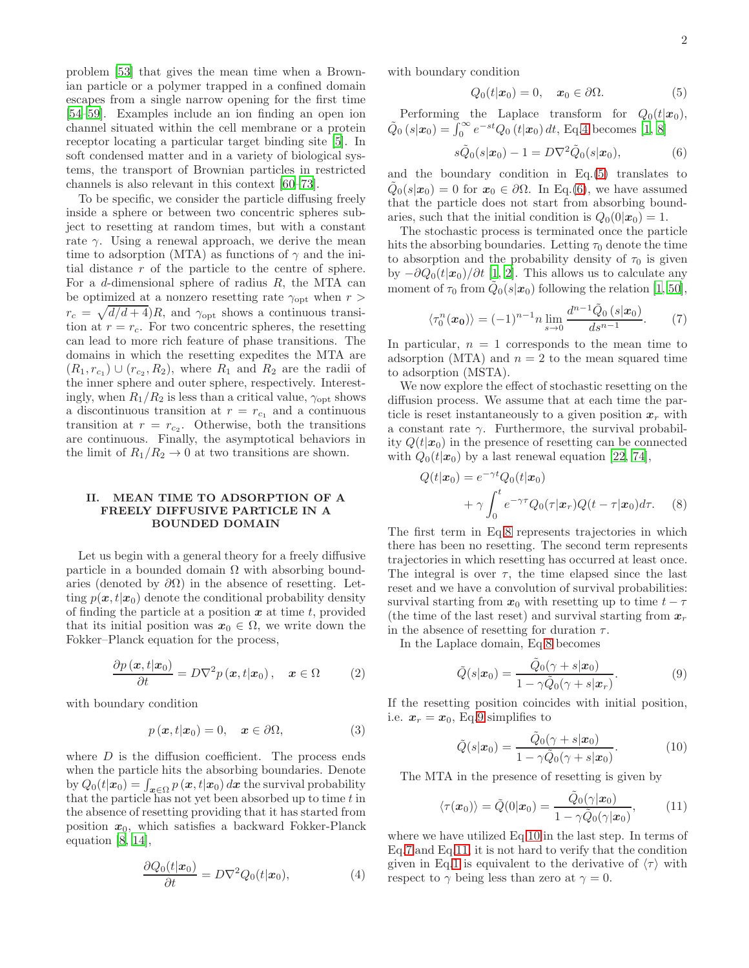problem [\[53\]](#page-6-31) that gives the mean time when a Brownian particle or a polymer trapped in a confined domain escapes from a single narrow opening for the first time [\[54](#page-6-32)[–59\]](#page-7-0). Examples include an ion finding an open ion channel situated within the cell membrane or a protein receptor locating a particular target binding site [\[5\]](#page-6-2). In soft condensed matter and in a variety of biological systems, the transport of Brownian particles in restricted channels is also relevant in this context [\[60](#page-7-1)[–73\]](#page-7-2).

To be specific, we consider the particle diffusing freely inside a sphere or between two concentric spheres subject to resetting at random times, but with a constant rate  $\gamma$ . Using a renewal approach, we derive the mean time to adsorption (MTA) as functions of  $\gamma$  and the initial distance r of the particle to the centre of sphere. For a d-dimensional sphere of radius  $R$ , the MTA can be optimized at a nonzero resetting rate  $\gamma_{\text{opt}}$  when  $r >$  $r_c = \sqrt{d/d + 4}$ , and  $\gamma_{\text{opt}}$  shows a continuous transition at  $r = r_c$ . For two concentric spheres, the resetting can lead to more rich feature of phase transitions. The domains in which the resetting expedites the MTA are  $(R_1, r_{c_1}) \cup (r_{c_2}, R_2)$ , where  $R_1$  and  $R_2$  are the radii of the inner sphere and outer sphere, respectively. Interestingly, when  $R_1/R_2$  is less than a critical value,  $\gamma_{\text{opt}}$  shows a discontinuous transition at  $r = r_{c_1}$  and a continuous transition at  $r = r_{c_2}$ . Otherwise, both the transitions are continuous. Finally, the asymptotical behaviors in the limit of  $R_1/R_2 \rightarrow 0$  at two transitions are shown.

# II. MEAN TIME TO ADSORPTION OF A FREELY DIFFUSIVE PARTICLE IN A BOUNDED DOMAIN

Let us begin with a general theory for a freely diffusive particle in a bounded domain  $\Omega$  with absorbing boundaries (denoted by  $\partial\Omega$ ) in the absence of resetting. Letting  $p(x, t|x_0)$  denote the conditional probability density of finding the particle at a position  $x$  at time  $t$ , provided that its initial position was  $x_0 \in \Omega$ , we write down the Fokker–Planck equation for the process,

$$
\frac{\partial p(x,t|x_0)}{\partial t} = D\nabla^2 p(x,t|x_0), \quad x \in \Omega \tag{2}
$$

with boundary condition

$$
p(\boldsymbol{x}, t|\boldsymbol{x}_0) = 0, \quad \boldsymbol{x} \in \partial\Omega,
$$
 (3)

where  $D$  is the diffusion coefficient. The process ends when the particle hits the absorbing boundaries. Denote by  $Q_0(t|x_0) = \int_{x \in \Omega} p(x, t|x_0) dx$  the survival probability that the particle has not yet been absorbed up to time  $t$  in the absence of resetting providing that it has started from position  $x_0$ , which satisfies a backward Fokker-Planck equation [\[8](#page-6-5), [14\]](#page-6-11),

<span id="page-1-0"></span>
$$
\frac{\partial Q_0(t|\mathbf{x}_0)}{\partial t} = D\nabla^2 Q_0(t|\mathbf{x}_0),\tag{4}
$$

with boundary condition

<span id="page-1-1"></span>
$$
Q_0(t|\boldsymbol{x}_0) = 0, \quad \boldsymbol{x}_0 \in \partial \Omega.
$$
 (5)

Performing the Laplace transform for  $Q_0(t|\mathbf{x}_0)$ ,  $\tilde{Q}_0(s|\bm{x}_0) = \int_0^\infty e^{-st} Q_0(t|\bm{x}_0) dt$ , Eq[.4](#page-1-0) becomes [\[1,](#page-6-0) [8\]](#page-6-5)

<span id="page-1-2"></span>
$$
s\tilde{Q}_0(s|\boldsymbol{x}_0) - 1 = D\nabla^2 \tilde{Q}_0(s|\boldsymbol{x}_0), \tag{6}
$$

and the boundary condition in Eq.[\(5\)](#page-1-1) translates to  $\tilde{Q}_0(s|\boldsymbol{x}_0) = 0$  for  $\boldsymbol{x}_0 \in \partial\Omega$ . In Eq.[\(6\)](#page-1-2), we have assumed that the particle does not start from absorbing boundaries, such that the initial condition is  $Q_0(0|\boldsymbol{x}_0) = 1$ .

The stochastic process is terminated once the particle hits the absorbing boundaries. Letting  $\tau_0$  denote the time to absorption and the probability density of  $\tau_0$  is given by  $-\partial Q_0(t|\mathbf{x}_0)/\partial t$  [\[1](#page-6-0), [2](#page-6-33)]. This allows us to calculate any moment of  $\tau_0$  from  $\tilde{Q}_0(s|\boldsymbol{x}_0)$  following the relation [\[1](#page-6-0), [50\]](#page-6-34),

<span id="page-1-6"></span>
$$
\langle \tau_0^n(\mathbf{x_0}) \rangle = (-1)^{n-1} n \lim_{s \to 0} \frac{d^{n-1} \tilde{Q}_0(s|\mathbf{x_0})}{ds^{n-1}}. \tag{7}
$$

In particular,  $n = 1$  corresponds to the mean time to adsorption (MTA) and  $n = 2$  to the mean squared time to adsorption (MSTA).

We now explore the effect of stochastic resetting on the diffusion process. We assume that at each time the particle is reset instantaneously to a given position  $x_r$  with a constant rate  $\gamma$ . Furthermore, the survival probability  $Q(t|\mathbf{x}_0)$  in the presence of resetting can be connected with  $Q_0(t|\mathbf{x}_0)$  by a last renewal equation [\[22](#page-6-35), [74](#page-7-3)],

<span id="page-1-3"></span>
$$
Q(t|\boldsymbol{x}_0) = e^{-\gamma t} Q_0(t|\boldsymbol{x}_0)
$$
  
+  $\gamma \int_0^t e^{-\gamma \tau} Q_0(\tau|\boldsymbol{x}_r) Q(t-\tau|\boldsymbol{x}_0) d\tau.$  (8)

The first term in Eq[.8](#page-1-3) represents trajectories in which there has been no resetting. The second term represents trajectories in which resetting has occurred at least once. The integral is over  $\tau$ , the time elapsed since the last reset and we have a convolution of survival probabilities: survival starting from  $x_0$  with resetting up to time  $t - \tau$ (the time of the last reset) and survival starting from  $x_r$ in the absence of resetting for duration  $\tau$ .

In the Laplace domain, Eq[.8](#page-1-3) becomes

<span id="page-1-4"></span>
$$
\tilde{Q}(s|\boldsymbol{x}_0) = \frac{\tilde{Q}_0(\gamma + s|\boldsymbol{x}_0)}{1 - \gamma \tilde{Q}_0(\gamma + s|\boldsymbol{x}_r)}.
$$
\n(9)

If the resetting position coincides with initial position, i.e.  $x_r = x_0$ , Eq[.9](#page-1-4) simplifies to

<span id="page-1-5"></span>
$$
\tilde{Q}(s|\boldsymbol{x}_0) = \frac{\tilde{Q}_0(\gamma + s|\boldsymbol{x}_0)}{1 - \gamma \tilde{Q}_0(\gamma + s|\boldsymbol{x}_0)}.
$$
\n(10)

The MTA in the presence of resetting is given by

<span id="page-1-7"></span>
$$
\langle \tau(\boldsymbol{x}_0) \rangle = \tilde{Q}(0|\boldsymbol{x}_0) = \frac{\tilde{Q}_0(\gamma|\boldsymbol{x}_0)}{1 - \gamma \tilde{Q}_0(\gamma|\boldsymbol{x}_0)},\tag{11}
$$

where we have utilized Eq[.10](#page-1-5) in the last step. In terms of Eq[.7](#page-1-6) and Eq[.11,](#page-1-7) it is not hard to verify that the condition given in Eq[.1](#page-0-1) is equivalent to the derivative of  $\langle \tau \rangle$  with respect to  $\gamma$  being less than zero at  $\gamma = 0$ .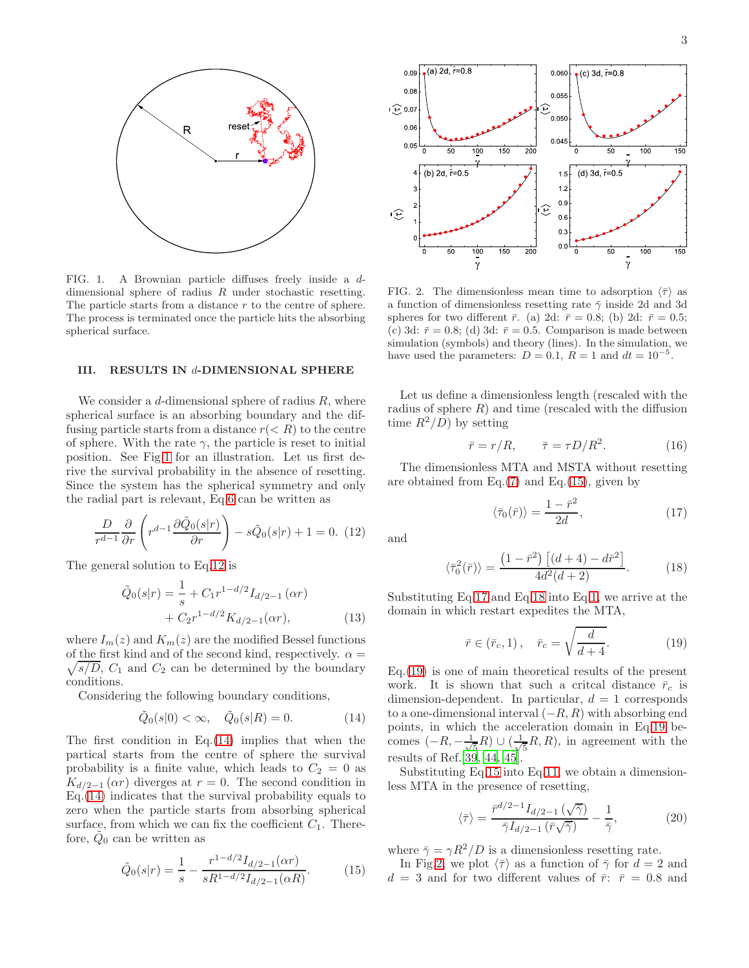

<span id="page-2-0"></span>FIG. 1. A Brownian particle diffuses freely inside a ddimensional sphere of radius R under stochastic resetting. The particle starts from a distance r to the centre of sphere. The process is terminated once the particle hits the absorbing spherical surface.

#### III. RESULTS IN d-DIMENSIONAL SPHERE

We consider a  $d$ -dimensional sphere of radius  $R$ , where spherical surface is an absorbing boundary and the diffusing particle starts from a distance  $r(< R)$  to the centre of sphere. With the rate  $\gamma$ , the particle is reset to initial position. See Fig[.1](#page-2-0) for an illustration. Let us first derive the survival probability in the absence of resetting. Since the system has the spherical symmetry and only the radial part is relevant, Eq[.6](#page-1-2) can be written as

<span id="page-2-1"></span>
$$
\frac{D}{r^{d-1}}\frac{\partial}{\partial r}\left(r^{d-1}\frac{\partial \tilde{Q}_0(s|r)}{\partial r}\right) - s\tilde{Q}_0(s|r) + 1 = 0.
$$
 (12)

The general solution to Eq[.12](#page-2-1) is

<span id="page-2-9"></span>
$$
\tilde{Q}_0(s|r) = \frac{1}{s} + C_1 r^{1-d/2} I_{d/2-1}(\alpha r) \n+ C_2 r^{1-d/2} K_{d/2-1}(\alpha r),
$$
\n(13)

where  $I_m(z)$  and  $K_m(z)$  are the modified Bessel functions of the first kind and of the second kind, respectively.  $\alpha =$  $\sqrt{s/D}$ ,  $C_1$  and  $C_2$  can be determined by the boundary conditions.

Considering the following boundary conditions,

<span id="page-2-2"></span>
$$
\tilde{Q}_0(s|0) < \infty, \quad \tilde{Q}_0(s|R) = 0.
$$
\n(14)

The first condition in Eq. $(14)$  implies that when the partical starts from the centre of sphere the survival probability is a finite value, which leads to  $C_2 = 0$  as  $K_{d/2-1}(\alpha r)$  diverges at  $r=0$ . The second condition in Eq.[\(14\)](#page-2-2) indicates that the survival probability equals to zero when the particle starts from absorbing spherical surface, from which we can fix the coefficient  $C_1$ . Therefore,  $\tilde{Q}_0$  can be written as

<span id="page-2-3"></span>
$$
\tilde{Q}_0(s|r) = \frac{1}{s} - \frac{r^{1-d/2} I_{d/2-1}(\alpha r)}{sR^{1-d/2} I_{d/2-1}(\alpha R)}.
$$
(15)



<span id="page-2-7"></span>FIG. 2. The dimensionless mean time to adsorption  $\langle \bar{\tau} \rangle$  as a function of dimensionless resetting rate  $\bar{\gamma}$  inside 2d and 3d spheres for two different  $\bar{r}$ . (a) 2d:  $\bar{r} = 0.8$ ; (b) 2d:  $\bar{r} = 0.5$ ; (c) 3d:  $\bar{r} = 0.8$ ; (d) 3d:  $\bar{r} = 0.5$ . Comparison is made between simulation (symbols) and theory (lines). In the simulation, we have used the parameters:  $D = 0.1$ ,  $R = 1$  and  $dt = 10^{-5}$ .

Let us define a dimensionless length (rescaled with the radius of sphere  $R$ ) and time (rescaled with the diffusion time  $R^2/D$  by setting

$$
\bar{r} = r/R, \qquad \bar{\tau} = \tau D/R^2. \tag{16}
$$

The dimensionless MTA and MSTA without resetting are obtained from Eq. $(7)$  and Eq. $(15)$ , given by

<span id="page-2-4"></span>
$$
\langle \bar{\tau}_0(\bar{r}) \rangle = \frac{1 - \bar{r}^2}{2d},\tag{17}
$$

and

<span id="page-2-5"></span>
$$
\langle \bar{\tau}_0^2(\bar{r}) \rangle = \frac{\left(1 - \bar{r}^2\right) \left[ (d+4) - d\bar{r}^2 \right]}{4d^2(d+2)}.
$$
 (18)

Substituting Eq[.17](#page-2-4) and Eq[.18](#page-2-5) into Eq[.1,](#page-0-1) we arrive at the domain in which restart expedites the MTA,

<span id="page-2-6"></span>
$$
\bar{r} \in (\bar{r}_c, 1), \quad \bar{r}_c = \sqrt{\frac{d}{d+4}}.\tag{19}
$$

Eq.[\(19\)](#page-2-6) is one of main theoretical results of the present work. It is shown that such a critcal distance  $\bar{r}_c$  is dimension-dependent. In particular,  $d = 1$  corresponds to a one-dimensional interval  $(-R, R)$  with absorbing end points, in which the acceleration domain in Eq[.19](#page-2-6) becomes  $(-R, -\frac{1}{\sqrt{2}})$  $\frac{1}{5}R$ ) ∪ ( $\frac{1}{\sqrt{2}}$  $\frac{1}{5}R, R$ , in agreement with the results of Ref.[\[39](#page-6-21), [44,](#page-6-27) [45\]](#page-6-36).

Substituting Eq[.15](#page-2-3) into Eq[.11,](#page-1-7) we obtain a dimensionless MTA in the presence of resetting,

<span id="page-2-8"></span>
$$
\langle \bar{\tau} \rangle = \frac{\bar{r}^{d/2 - 1} I_{d/2 - 1} \left( \sqrt{\bar{\gamma}} \right)}{\bar{\gamma} I_{d/2 - 1} \left( \bar{r} \sqrt{\bar{\gamma}} \right)} - \frac{1}{\bar{\gamma}},\tag{20}
$$

where  $\bar{\gamma} = \gamma R^2/D$  is a dimensionless resetting rate.

In Fig[.2,](#page-2-7) we plot  $\langle \bar{\tau} \rangle$  as a function of  $\bar{\gamma}$  for  $d = 2$  and  $d = 3$  and for two different values of  $\bar{r}$ :  $\bar{r} = 0.8$  and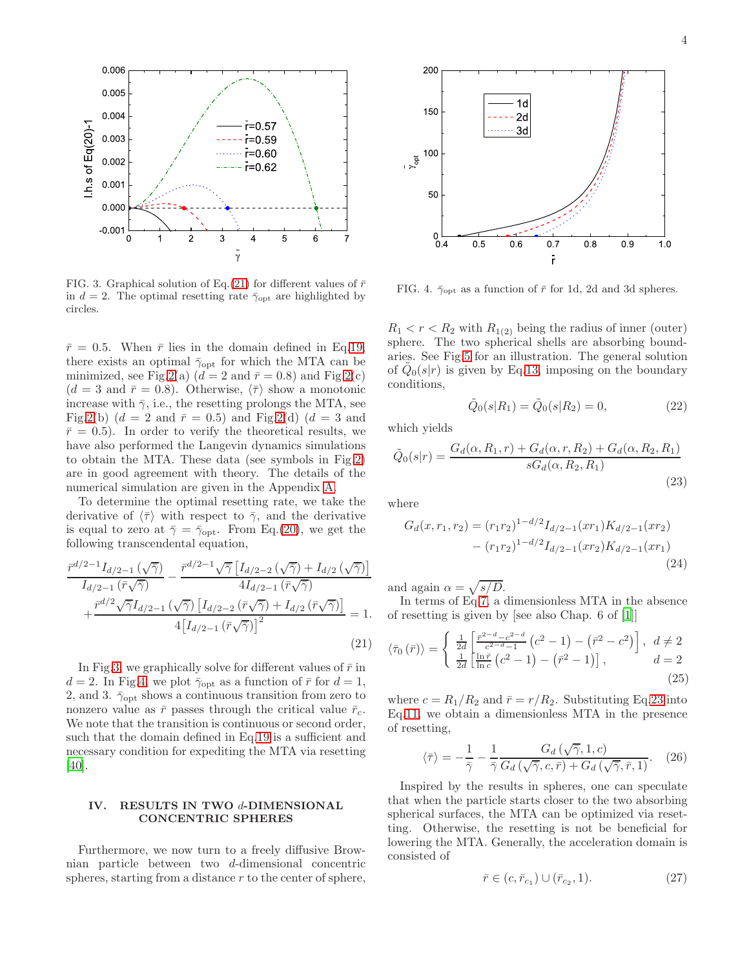

<span id="page-3-1"></span>FIG. 3. Graphical solution of Eq.[\(21\)](#page-3-0) for different values of  $\bar{r}$ in  $d = 2$ . The optimal resetting rate  $\bar{\gamma}_{opt}$  are highlighted by circles.

 $\bar{r}=0.5$ . When  $\bar{r}$  lies in the domain defined in Eq[.19,](#page-2-6) there exists an optimal  $\bar{\gamma}_{\text{opt}}$  for which the MTA can be minimized, see Fig[.2\(](#page-2-7)a)  $(d = 2 \text{ and } \bar{r} = 0.8)$  and Fig.2(c)  $(d = 3 \text{ and } \bar{r} = 0.8)$ . Otherwise,  $\langle \bar{\tau} \rangle$  show a monotonic increase with  $\bar{\gamma}$ , i.e., the resetting prolongs the MTA, see Fig[.2\(](#page-2-7)b)  $(d = 2 \text{ and } \bar{r} = 0.5)$  and Fig.2(d)  $(d = 3 \text{ and }$  $\bar{r}=0.5$ ). In order to verify the theoretical results, we have also performed the Langevin dynamics simulations to obtain the MTA. These data (see symbols in Fig[.2\)](#page-2-7) are in good agreement with theory. The details of the numerical simulation are given in the Appendix [A.](#page-5-0)

To determine the optimal resetting rate, we take the derivative of  $\langle \bar{\tau} \rangle$  with respect to  $\bar{\gamma}$ , and the derivative is equal to zero at  $\bar{\gamma} = \bar{\gamma}_{\text{opt}}$ . From Eq.[\(20\)](#page-2-8), we get the following transcendental equation,

<span id="page-3-0"></span>
$$
\frac{\bar{r}^{d/2-1}I_{d/2-1}\left(\sqrt{\bar{\gamma}}\right)}{I_{d/2-1}\left(\bar{r}\sqrt{\bar{\gamma}}\right)} - \frac{\bar{r}^{d/2-1}\sqrt{\bar{\gamma}}\left[I_{d/2-2}\left(\sqrt{\bar{\gamma}}\right) + I_{d/2}\left(\sqrt{\bar{\gamma}}\right)\right]}{4I_{d/2-1}\left(\bar{r}\sqrt{\bar{\gamma}}\right)} + \frac{\bar{r}^{d/2}\sqrt{\bar{\gamma}}I_{d/2-1}\left(\sqrt{\bar{\gamma}}\right)\left[I_{d/2-2}\left(\bar{r}\sqrt{\bar{\gamma}}\right) + I_{d/2}\left(\bar{r}\sqrt{\bar{\gamma}}\right)\right]}{4\left[I_{d/2-1}\left(\bar{r}\sqrt{\bar{\gamma}}\right)\right]^2} = 1.
$$
\n(21)

In Fig[.3,](#page-3-1) we graphically solve for different values of  $\bar{r}$  in  $d = 2$ . In Fig[.4,](#page-3-2) we plot  $\bar{\gamma}_{\text{opt}}$  as a function of  $\bar{r}$  for  $d = 1$ , 2, and 3.  $\bar{\gamma}_{\text{opt}}$  shows a continuous transition from zero to nonzero value as  $\bar{r}$  passes through the critical value  $\bar{r}_c$ . We note that the transition is continuous or second order, such that the domain defined in Eq[.19](#page-2-6) is a sufficient and necessary condition for expediting the MTA via resetting [\[40\]](#page-6-22).

# IV. RESULTS IN TWO d-DIMENSIONAL CONCENTRIC SPHERES

Furthermore, we now turn to a freely diffusive Brownian particle between two d-dimensional concentric spheres, starting from a distance  $r$  to the center of sphere,



<span id="page-3-2"></span>FIG. 4.  $\bar{\gamma}_{\text{opt}}$  as a function of  $\bar{r}$  for 1d, 2d and 3d spheres.

 $R_1 < r < R_2$  with  $R_{1(2)}$  being the radius of inner (outer) sphere. The two spherical shells are absorbing boundaries. See Fig[.5](#page-4-0) for an illustration. The general solution of  $\tilde{Q}_0(s|r)$  is given by Eq[.13,](#page-2-9) imposing on the boundary conditions,

$$
\tilde{Q}_0(s|R_1) = \tilde{Q}_0(s|R_2) = 0,\t(22)
$$

which yields

<span id="page-3-3"></span>
$$
\tilde{Q}_0(s|r) = \frac{G_d(\alpha, R_1, r) + G_d(\alpha, r, R_2) + G_d(\alpha, R_2, R_1)}{sG_d(\alpha, R_2, R_1)}
$$
\n(23)

where

$$
G_d(x, r_1, r_2) = (r_1 r_2)^{1 - d/2} I_{d/2 - 1}(xr_1) K_{d/2 - 1}(xr_2)
$$

$$
- (r_1 r_2)^{1 - d/2} I_{d/2 - 1}(xr_2) K_{d/2 - 1}(xr_1)
$$
(24)

and again  $\alpha = \sqrt{s/D}$ .

In terms of Eq[.7,](#page-1-6) a dimensionless MTA in the absence of resetting is given by [see also Chap. 6 of [\[1\]](#page-6-0)]

$$
\langle \bar{\tau}_0(\bar{r}) \rangle = \begin{cases} \frac{1}{2d} \left[ \frac{\bar{r}^{2-d} - c^{2-d}}{c^{2-d} - 1} \left( c^2 - 1 \right) - \left( \bar{r}^2 - c^2 \right) \right], & d \neq 2\\ \frac{1}{2d} \left[ \frac{\ln \bar{r}}{\ln c} \left( c^2 - 1 \right) - \left( \bar{r}^2 - 1 \right) \right], & d = 2 \end{cases}
$$
\n(25)

where  $c = R_1/R_2$  and  $\bar{r} = r/R_2$ . Substituting Eq[.23](#page-3-3) into Eq[.11,](#page-1-7) we obtain a dimensionless MTA in the presence of resetting,

<span id="page-3-4"></span>
$$
\langle \bar{\tau} \rangle = -\frac{1}{\bar{\gamma}} - \frac{1}{\bar{\gamma}} \frac{G_d(\sqrt{\bar{\gamma}}, 1, c)}{G_d(\sqrt{\bar{\gamma}}, c, \bar{r}) + G_d(\sqrt{\bar{\gamma}}, \bar{r}, 1)}.
$$
 (26)

Inspired by the results in spheres, one can speculate that when the particle starts closer to the two absorbing spherical surfaces, the MTA can be optimized via resetting. Otherwise, the resetting is not be beneficial for lowering the MTA. Generally, the acceleration domain is consisted of

$$
\bar{r} \in (c, \bar{r}_{c_1}) \cup (\bar{r}_{c_2}, 1). \tag{27}
$$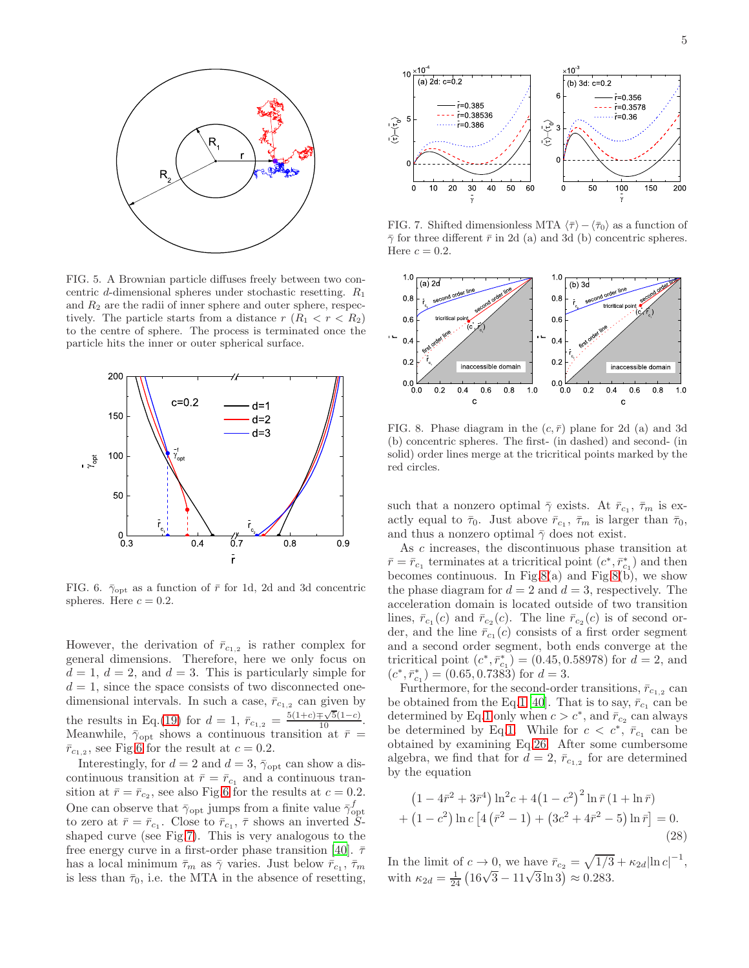

<span id="page-4-0"></span>FIG. 5. A Brownian particle diffuses freely between two concentric d-dimensional spheres under stochastic resetting.  $R_1$ and  $R_2$  are the radii of inner sphere and outer sphere, respectively. The particle starts from a distance  $r (R_1 < r < R_2)$ to the centre of sphere. The process is terminated once the particle hits the inner or outer spherical surface.



<span id="page-4-1"></span>FIG. 6.  $\bar{\gamma}_{\text{opt}}$  as a function of  $\bar{r}$  for 1d, 2d and 3d concentric spheres. Here  $c = 0.2$ .

However, the derivation of  $\bar{r}_{c_{1,2}}$  is rather complex for general dimensions. Therefore, here we only focus on  $d = 1, d = 2$ , and  $d = 3$ . This is particularly simple for  $d = 1$ , since the space consists of two disconnected onedimensional intervals. In such a case,  $\bar{r}_{c_1,2}$  can given by the results in Eq.[\(19\)](#page-2-6) for  $d = 1$ ,  $\bar{r}_{c_{1,2}} = \frac{5(1+c)\mp\sqrt{5}(1-c)}{10}$ . Meanwhile,  $\bar{\gamma}_{\text{opt}}$  shows a continuous transition at  $\bar{r}$  =  $\bar{r}_{c_{1,2}}$ , see Fig[.6](#page-4-1) for the result at  $c = 0.2$ .

Interestingly, for  $d = 2$  and  $d = 3$ ,  $\bar{\gamma}_{\text{opt}}$  can show a discontinuous transition at  $\bar{r} = \bar{r}_{c_1}$  and a continuous transition at  $\bar{r} = \bar{r}_{c_2}$ , see also Fig[.6](#page-4-1) for the results at  $c = 0.2$ . One can observe that  $\bar{\gamma}_{\text{opt}}$  jumps from a finite value  $\bar{\gamma}_{\text{opt}}^f$ to zero at  $\bar{r} = \bar{r}_{c_1}$ . Close to  $\bar{r}_{c_1}$ ,  $\bar{\tau}$  shows an inverted  $\tilde{S}$ shaped curve (see Fig[.7\)](#page-4-2). This is very analogous to the free energy curve in a first-order phase transition [\[40\]](#page-6-22).  $\bar{\tau}$ has a local minimum  $\bar{\tau}_m$  as  $\bar{\gamma}$  varies. Just below  $\bar{r}_{c_1}, \bar{\tau}_m$ is less than  $\bar{\tau}_0$ , i.e. the MTA in the absence of resetting,



<span id="page-4-2"></span>FIG. 7. Shifted dimensionless MTA  $\langle \bar{\tau} \rangle - \langle \bar{\tau}_0 \rangle$  as a function of  $\bar{\gamma}$  for three different  $\bar{r}$  in 2d (a) and 3d (b) concentric spheres. Here  $c = 0.2$ .



<span id="page-4-3"></span>FIG. 8. Phase diagram in the  $(c, \bar{r})$  plane for 2d (a) and 3d (b) concentric spheres. The first- (in dashed) and second- (in solid) order lines merge at the tricritical points marked by the red circles.

such that a nonzero optimal  $\bar{\gamma}$  exists. At  $\bar{r}_{c_1}, \bar{\tau}_m$  is exactly equal to  $\bar{\tau}_0$ . Just above  $\bar{r}_{c_1}$ ,  $\bar{\tau}_m$  is larger than  $\bar{\tau}_0$ , and thus a nonzero optimal  $\bar{\gamma}$  does not exist.

As c increases, the discontinuous phase transition at  $\bar{r} = \bar{r}_{c_1}$  terminates at a tricritical point  $(c^*, \bar{r}_{c_1})$  and then becomes continuous. In Fig[.8\(](#page-4-3)a) and Fig.8(b), we show the phase diagram for  $d = 2$  and  $d = 3$ , respectively. The acceleration domain is located outside of two transition lines,  $\bar{r}_{c_1}(c)$  and  $\bar{r}_{c_2}(c)$ . The line  $\bar{r}_{c_2}(c)$  is of second order, and the line  $\bar{r}_{c_1}(c)$  consists of a first order segment and a second order segment, both ends converge at the tricritical point  $(c^*, \bar{r}_{c_1}^*) = (0.45, 0.58978)$  for  $d = 2$ , and  $(c^*, \bar{r}_{c_1}^*) = (0.65, 0.7383)$  for  $d = 3$ .

Furthermore, for the second-order transitions,  $\bar{r}_{c_1,2}$  can be obtained from the Eq[.1](#page-0-1) [\[40](#page-6-22)]. That is to say,  $\bar{r}_{c_1}$  can be determined by Eq[.1](#page-0-1) only when  $c > c^*$ , and  $\bar{r}_{c_2}$  can always be determined by Eq[.1.](#page-0-1) While for  $c < c^*$ ,  $\bar{r}_{c_1}$  can be obtained by examining Eq[.26.](#page-3-4) After some cumbersome algebra, we find that for  $d=2$ ,  $\bar{r}_{c_1,2}$  for are determined by the equation

<span id="page-4-4"></span>
$$
(1 - 4\bar{r}^2 + 3\bar{r}^4) \ln^2 c + 4(1 - c^2)^2 \ln \bar{r} (1 + \ln \bar{r})
$$
  
+ (1 - c<sup>2</sup>) ln c [4( $\bar{r}^2$  - 1) + (3c<sup>2</sup> + 4 $\bar{r}^2$  - 5) ln  $\bar{r}$ ] = 0. (28)

In the limit of  $c \to 0$ , we have  $\bar{r}_{c_2} = \sqrt{1/3} + \kappa_{2d} |\ln c|^{-1}$ , with  $\kappa_{2d} = \frac{1}{24} \left( 16\sqrt{3} - 11\sqrt{3} \ln 3 \right) \approx 0.283.$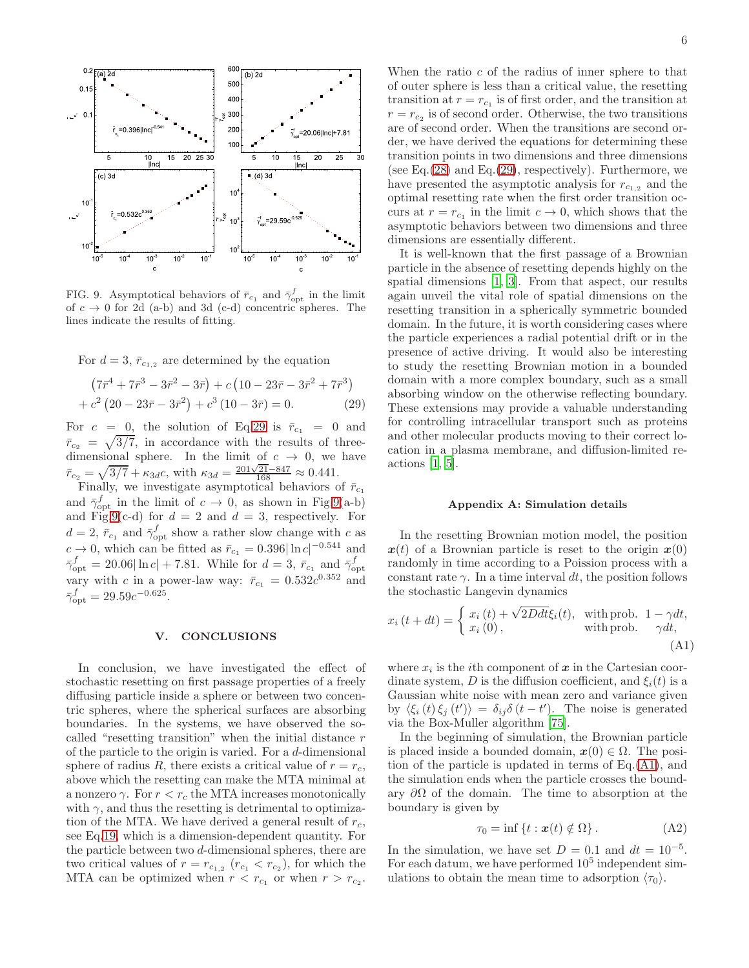

<span id="page-5-2"></span>FIG. 9. Asymptotical behaviors of  $\bar{r}_{c_1}$  and  $\bar{\gamma}_{\text{opt}}^f$  in the limit of  $c \to 0$  for 2d (a-b) and 3d (c-d) concentric spheres. The lines indicate the results of fitting.

For  $d = 3$ ,  $\bar{r}_{c_1,2}$  are determined by the equation

<span id="page-5-1"></span>
$$
(7\bar{r}^4 + 7\bar{r}^3 - 3\bar{r}^2 - 3\bar{r}) + c (10 - 23\bar{r} - 3\bar{r}^2 + 7\bar{r}^3) + c^2 (20 - 23\bar{r} - 3\bar{r}^2) + c^3 (10 - 3\bar{r}) = 0.
$$
 (29)

For  $c = 0$ , the solution of Eq[.29](#page-5-1) is  $\bar{r}_{c_1} = 0$  and  $\bar{r}_{c_2} = \sqrt{3/7}$ , in accordance with the results of threedimensional sphere. In the limit of  $c \rightarrow 0$ , we have  $\bar{r}_{c_2} = \sqrt{3/7} + \kappa_{3d}c$ , with  $\kappa_{3d} = \frac{201\sqrt{21} - 847}{168} \approx 0.441$ .

Finally, we investigate asymptotical behaviors of  $\bar{r}_{c_1}$ and  $\bar{\gamma}_{\text{opt}}^f$  in the limit of  $c \to 0$ , as shown in Fig[.9\(](#page-5-2)a-b) and Fig[.9\(](#page-5-2)c-d) for  $d = 2$  and  $d = 3$ , respectively. For  $d=2, \bar{r}_{c_1}$  and  $\bar{\gamma}_{\text{opt}}^f$  show a rather slow change with c as  $c \rightarrow 0$ , which can be fitted as  $\bar{r}_{c_1} = 0.396|\ln c|^{-0.541}$  and  $\bar{\gamma}_{\text{opt}}^f = 20.06 \left| \ln c \right| + 7.81.$  While for  $d = 3$ ,  $\bar{r}_{c_1}$  and  $\bar{\gamma}_{\text{opt}}^f$ vary with c in a power-law way:  $\bar{r}_{c_1} = 0.532c^{0.352}$  and  $\bar{\gamma}_{\text{opt}}^f = 29.59c^{-0.625}.$ 

### V. CONCLUSIONS

In conclusion, we have investigated the effect of stochastic resetting on first passage properties of a freely diffusing particle inside a sphere or between two concentric spheres, where the spherical surfaces are absorbing boundaries. In the systems, we have observed the socalled "resetting transition" when the initial distance r of the particle to the origin is varied. For a d-dimensional sphere of radius R, there exists a critical value of  $r = r_c$ , above which the resetting can make the MTA minimal at a nonzero  $\gamma$ . For  $r < r_c$  the MTA increases monotonically with  $\gamma$ , and thus the resetting is detrimental to optimization of the MTA. We have derived a general result of  $r_c$ , see Eq[.19,](#page-2-6) which is a dimension-dependent quantity. For the particle between two d-dimensional spheres, there are two critical values of  $r = r_{c_{1,2}}$   $(r_{c_1} < r_{c_2})$ , for which the MTA can be optimized when  $r < r_{c_1}$  or when  $r > r_{c_2}$ .

When the ratio  $c$  of the radius of inner sphere to that of outer sphere is less than a critical value, the resetting transition at  $r = r_{c_1}$  is of first order, and the transition at  $r = r_{c2}$  is of second order. Otherwise, the two transitions are of second order. When the transitions are second order, we have derived the equations for determining these transition points in two dimensions and three dimensions (see Eq.  $(28)$  and Eq.  $(29)$ , respectively). Furthermore, we have presented the asymptotic analysis for  $r_{c_1,2}$  and the optimal resetting rate when the first order transition occurs at  $r = r_{c_1}$  in the limit  $c \to 0$ , which shows that the asymptotic behaviors between two dimensions and three dimensions are essentially different.

It is well-known that the first passage of a Brownian particle in the absence of resetting depends highly on the spatial dimensions [\[1](#page-6-0), [3\]](#page-6-37). From that aspect, our results again unveil the vital role of spatial dimensions on the resetting transition in a spherically symmetric bounded domain. In the future, it is worth considering cases where the particle experiences a radial potential drift or in the presence of active driving. It would also be interesting to study the resetting Brownian motion in a bounded domain with a more complex boundary, such as a small absorbing window on the otherwise reflecting boundary. These extensions may provide a valuable understanding for controlling intracellular transport such as proteins and other molecular products moving to their correct location in a plasma membrane, and diffusion-limited reactions [\[1,](#page-6-0) [5\]](#page-6-2).

# <span id="page-5-0"></span>Appendix A: Simulation details

In the resetting Brownian motion model, the position  $x(t)$  of a Brownian particle is reset to the origin  $x(0)$ randomly in time according to a Poission process with a constant rate  $\gamma$ . In a time interval dt, the position follows the stochastic Langevin dynamics

<span id="page-5-3"></span>
$$
x_i(t+dt) = \begin{cases} x_i(t) + \sqrt{2Ddt}\xi_i(t), & \text{with prob. } 1 - \gamma dt, \\ x_i(0), & \text{with prob. } \gamma dt, \\ (A1) \end{cases}
$$

where  $x_i$  is the *i*<sup>th</sup> component of  $x$  in the Cartesian coordinate system, D is the diffusion coefficient, and  $\xi_i(t)$  is a Gaussian white noise with mean zero and variance given by  $\langle \xi_i(t) \xi_j(t') \rangle = \delta_{ij} \delta(t-t')$ . The noise is generated via the Box-Muller algorithm [\[75\]](#page-7-4).

In the beginning of simulation, the Brownian particle is placed inside a bounded domain,  $x(0) \in \Omega$ . The position of the particle is updated in terms of Eq.[\(A1\)](#page-5-3), and the simulation ends when the particle crosses the boundary  $\partial\Omega$  of the domain. The time to absorption at the boundary is given by

$$
\tau_0 = \inf \{ t : \mathbf{x}(t) \notin \Omega \} . \tag{A2}
$$

In the simulation, we have set  $D = 0.1$  and  $dt = 10^{-5}$ . For each datum, we have performed  $10<sup>5</sup>$  independent simulations to obtain the mean time to adsorption  $\langle \tau_0 \rangle$ .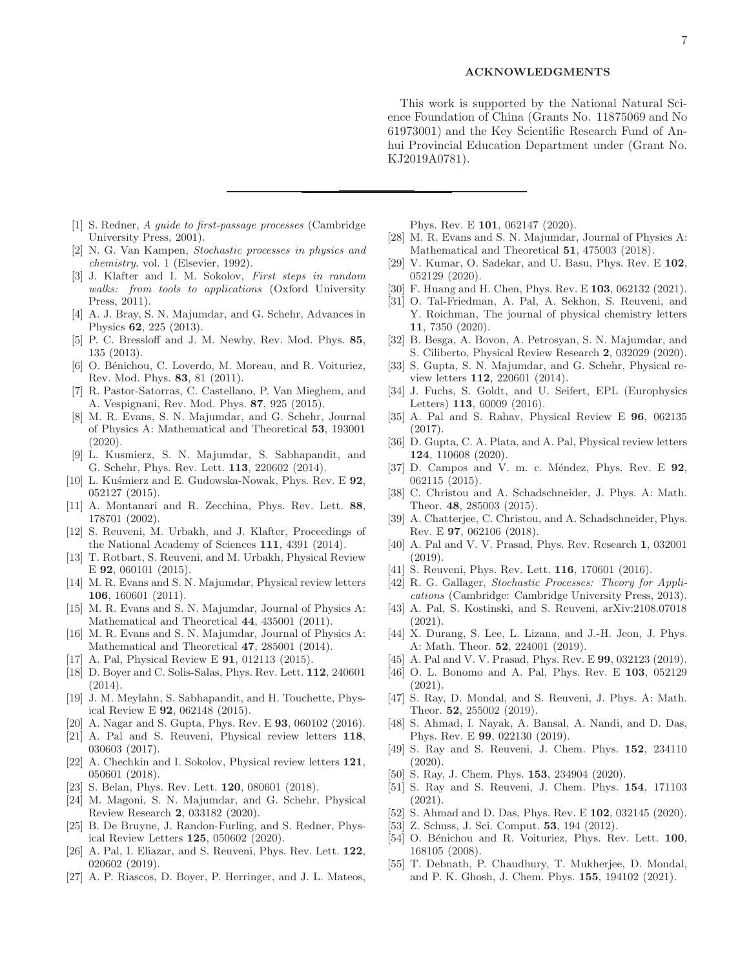#### ACKNOWLEDGMENTS

This work is supported by the National Natural Science Foundation of China (Grants No. 11875069 and No 61973001) and the Key Scientific Research Fund of Anhui Provincial Education Department under (Grant No. KJ2019A0781).

- <span id="page-6-0"></span>[1] S. Redner, A guide to first-passage processes (Cambridge University Press, 2001).
- <span id="page-6-33"></span>[2] N. G. Van Kampen, Stochastic processes in physics and chemistry, vol. 1 (Elsevier, 1992).
- <span id="page-6-37"></span>[3] J. Klafter and I. M. Sokolov, First steps in random walks: from tools to applications (Oxford University Press, 2011).
- <span id="page-6-1"></span>[4] A. J. Bray, S. N. Majumdar, and G. Schehr, Advances in Physics 62, 225 (2013).
- <span id="page-6-2"></span>[5] P. C. Bressloff and J. M. Newby, Rev. Mod. Phys. 85, 135 (2013).
- <span id="page-6-3"></span>[6] O. Bénichou, C. Loverdo, M. Moreau, and R. Voituriez, Rev. Mod. Phys. 83, 81 (2011).
- <span id="page-6-4"></span>[7] R. Pastor-Satorras, C. Castellano, P. Van Mieghem, and A. Vespignani, Rev. Mod. Phys. 87, 925 (2015).
- <span id="page-6-5"></span>[8] M. R. Evans, S. N. Majumdar, and G. Schehr, Journal of Physics A: Mathematical and Theoretical 53, 193001 (2020).
- <span id="page-6-6"></span>[9] L. Kusmierz, S. N. Majumdar, S. Sabhapandit, and G. Schehr, Phys. Rev. Lett. 113, 220602 (2014).
- <span id="page-6-7"></span>[10] L. Kus´mierz and E. Gudowska-Nowak, Phys. Rev. E 92, 052127 (2015).
- <span id="page-6-8"></span>[11] A. Montanari and R. Zecchina, Phys. Rev. Lett. 88, 178701 (2002).
- <span id="page-6-9"></span>[12] S. Reuveni, M. Urbakh, and J. Klafter, Proceedings of the National Academy of Sciences 111, 4391 (2014).
- <span id="page-6-10"></span>[13] T. Rotbart, S. Reuveni, and M. Urbakh, Physical Review E 92, 060101 (2015).
- <span id="page-6-11"></span>[14] M. R. Evans and S. N. Majumdar, Physical review letters 106, 160601 (2011).
- <span id="page-6-12"></span>[15] M. R. Evans and S. N. Majumdar, Journal of Physics A: Mathematical and Theoretical 44, 435001 (2011).
- [16] M. R. Evans and S. N. Majumdar, Journal of Physics A: Mathematical and Theoretical 47, 285001 (2014).
- [17] A. Pal, Physical Review E 91, 012113 (2015).
- [18] D. Boyer and C. Solis-Salas, Phys. Rev. Lett. 112, 240601 (2014).
- [19] J. M. Meylahn, S. Sabhapandit, and H. Touchette, Physical Review E 92, 062148 (2015).
- [20] A. Nagar and S. Gupta, Phys. Rev. E **93**, 060102 (2016).
- <span id="page-6-24"></span>[21] A. Pal and S. Reuveni, Physical review letters 118, 030603 (2017).
- <span id="page-6-35"></span>[22] A. Chechkin and I. Sokolov, Physical review letters  $121$ , 050601 (2018).
- [23] S. Belan, Phys. Rev. Lett. **120**, 080601 (2018).
- <span id="page-6-16"></span>[24] M. Magoni, S. N. Majumdar, and G. Schehr, Physical Review Research 2, 033182 (2020).
- [25] B. De Bruyne, J. Randon-Furling, and S. Redner, Physical Review Letters 125, 050602 (2020).
- [26] A. Pal, I. Eliazar, and S. Reuveni, Phys. Rev. Lett. 122. 020602 (2019).
- [27] A. P. Riascos, D. Boyer, P. Herringer, and J. L. Mateos.
- Phys. Rev. E 101, 062147 (2020).
- [28] M. R. Evans and S. N. Majumdar, Journal of Physics A: Mathematical and Theoretical 51, 475003 (2018).
- [29] V. Kumar, O. Sadekar, and U. Basu, Phys. Rev. E 102, 052129 (2020).
- <span id="page-6-13"></span>[30] F. Huang and H. Chen, Phys. Rev. E 103, 062132 (2021).
- <span id="page-6-14"></span>[31] O. Tal-Friedman, A. Pal, A. Sekhon, S. Reuveni, and Y. Roichman, The journal of physical chemistry letters 11, 7350 (2020).
- <span id="page-6-15"></span>[32] B. Besga, A. Bovon, A. Petrosyan, S. N. Majumdar, and S. Ciliberto, Physical Review Research 2, 032029 (2020).
- <span id="page-6-17"></span>[33] S. Gupta, S. N. Majumdar, and G. Schehr, Physical review letters 112, 220601 (2014).
- [34] J. Fuchs, S. Goldt, and U. Seifert, EPL (Europhysics Letters) 113, 60009 (2016).
- [35] A. Pal and S. Rahav, Physical Review E 96, 062135 (2017).
- <span id="page-6-18"></span>[36] D. Gupta, C. A. Plata, and A. Pal, Physical review letters 124, 110608 (2020).
- <span id="page-6-19"></span>[37] D. Campos and V. m. c. Méndez, Phys. Rev. E  $92$ , 062115 (2015).
- <span id="page-6-20"></span>[38] C. Christou and A. Schadschneider, J. Phys. A: Math. Theor. 48, 285003 (2015).
- <span id="page-6-21"></span>[39] A. Chatterjee, C. Christou, and A. Schadschneider, Phys. Rev. E 97, 062106 (2018).
- <span id="page-6-22"></span>[40] A. Pal and V. V. Prasad, Phys. Rev. Research 1, 032001 (2019).
- <span id="page-6-23"></span>[41] S. Reuveni, Phys. Rev. Lett. **116**, 170601 (2016).
- <span id="page-6-25"></span>[42] R. G. Gallager, Stochastic Processes: Theory for Applications (Cambridge: Cambridge University Press, 2013).
- <span id="page-6-26"></span>[43] A. Pal, S. Kostinski, and S. Reuveni, arXiv:2108.07018 (2021).
- <span id="page-6-27"></span>[44] X. Durang, S. Lee, L. Lizana, and J.-H. Jeon, J. Phys. A: Math. Theor. 52, 224001 (2019).
- <span id="page-6-36"></span>[45] A. Pal and V. V. Prasad, Phys. Rev. E **99**, 032123 (2019).
- <span id="page-6-28"></span>[46] O. L. Bonomo and A. Pal, Phys. Rev. E 103, 052129 (2021).
- [47] S. Ray, D. Mondal, and S. Reuveni, J. Phys. A: Math. Theor. 52, 255002 (2019).
- [48] S. Ahmad, I. Nayak, A. Bansal, A. Nandi, and D. Das, Phys. Rev. E 99, 022130 (2019).
- [49] S. Ray and S. Reuveni, J. Chem. Phys. 152, 234110 (2020).
- <span id="page-6-34"></span>[50] S. Ray, J. Chem. Phys. **153**, 234904 (2020).
- <span id="page-6-29"></span>[51] S. Ray and S. Reuveni, J. Chem. Phys. 154, 171103 (2021).
- <span id="page-6-30"></span>[52] S. Ahmad and D. Das, Phys. Rev. E 102, 032145 (2020).
- <span id="page-6-31"></span>[53] Z. Schuss, J. Sci. Comput. 53, 194 (2012).
- <span id="page-6-32"></span>[54] O. Bénichou and R. Voituriez, Phys. Rev. Lett. 100, 168105 (2008).
- [55] T. Debnath, P. Chaudhury, T. Mukherjee, D. Mondal, and P. K. Ghosh, J. Chem. Phys. 155, 194102 (2021).